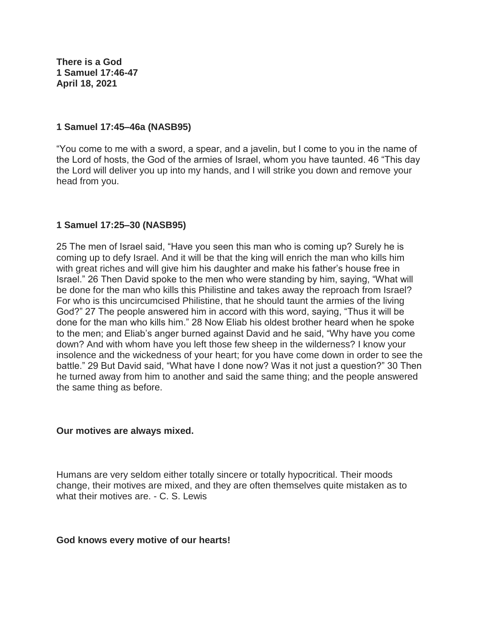**There is a God 1 Samuel 17:46-47 April 18, 2021**

### **1 Samuel 17:45–46a (NASB95)**

"You come to me with a sword, a spear, and a javelin, but I come to you in the name of the Lord of hosts, the God of the armies of Israel, whom you have taunted. 46 "This day the Lord will deliver you up into my hands, and I will strike you down and remove your head from you.

## **1 Samuel 17:25–30 (NASB95)**

25 The men of Israel said, "Have you seen this man who is coming up? Surely he is coming up to defy Israel. And it will be that the king will enrich the man who kills him with great riches and will give him his daughter and make his father's house free in Israel." 26 Then David spoke to the men who were standing by him, saying, "What will be done for the man who kills this Philistine and takes away the reproach from Israel? For who is this uncircumcised Philistine, that he should taunt the armies of the living God?" 27 The people answered him in accord with this word, saying, "Thus it will be done for the man who kills him." 28 Now Eliab his oldest brother heard when he spoke to the men; and Eliab's anger burned against David and he said, "Why have you come down? And with whom have you left those few sheep in the wilderness? I know your insolence and the wickedness of your heart; for you have come down in order to see the battle." 29 But David said, "What have I done now? Was it not just a question?" 30 Then he turned away from him to another and said the same thing; and the people answered the same thing as before.

#### **Our motives are always mixed.**

Humans are very seldom either totally sincere or totally hypocritical. Their moods change, their motives are mixed, and they are often themselves quite mistaken as to what their motives are. - C. S. Lewis

## **God knows every motive of our hearts!**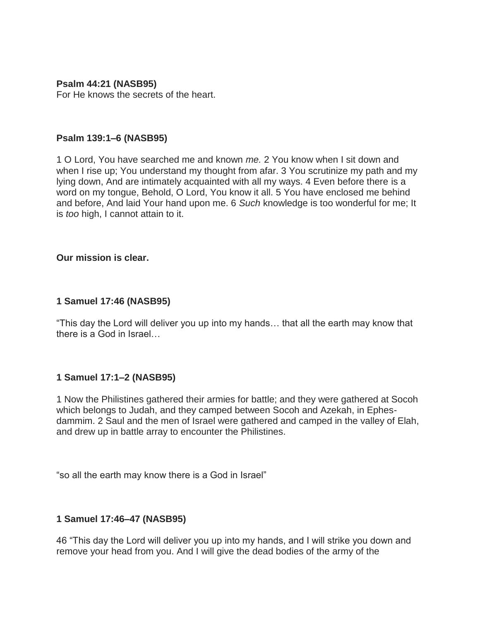### **Psalm 44:21 (NASB95)**

For He knows the secrets of the heart.

#### **Psalm 139:1–6 (NASB95)**

1 O Lord, You have searched me and known *me.* 2 You know when I sit down and when I rise up; You understand my thought from afar. 3 You scrutinize my path and my lying down, And are intimately acquainted with all my ways. 4 Even before there is a word on my tongue, Behold, O Lord, You know it all. 5 You have enclosed me behind and before, And laid Your hand upon me. 6 *Such* knowledge is too wonderful for me; It is *too* high, I cannot attain to it.

#### **Our mission is clear.**

#### **1 Samuel 17:46 (NASB95)**

"This day the Lord will deliver you up into my hands… that all the earth may know that there is a God in Israel…

## **1 Samuel 17:1–2 (NASB95)**

1 Now the Philistines gathered their armies for battle; and they were gathered at Socoh which belongs to Judah, and they camped between Socoh and Azekah, in Ephesdammim. 2 Saul and the men of Israel were gathered and camped in the valley of Elah, and drew up in battle array to encounter the Philistines.

"so all the earth may know there is a God in Israel"

## **1 Samuel 17:46–47 (NASB95)**

46 "This day the Lord will deliver you up into my hands, and I will strike you down and remove your head from you. And I will give the dead bodies of the army of the